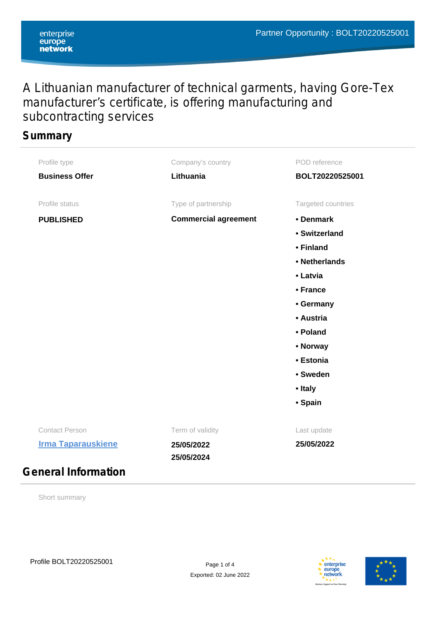# A Lithuanian manufacturer of technical garments, having Gore-Tex manufacturer's certificate, is offering manufacturing and subcontracting services

### **Summary**

| Profile type               | Company's country           | POD reference      |
|----------------------------|-----------------------------|--------------------|
| <b>Business Offer</b>      | Lithuania                   | BOLT20220525001    |
| Profile status             | Type of partnership         | Targeted countries |
| <b>PUBLISHED</b>           | <b>Commercial agreement</b> | • Denmark          |
|                            |                             | • Switzerland      |
|                            |                             | • Finland          |
|                            |                             | • Netherlands      |
|                            |                             | • Latvia           |
|                            |                             | • France           |
|                            |                             | • Germany          |
|                            |                             | • Austria          |
|                            |                             | • Poland           |
|                            |                             | • Norway           |
|                            |                             | • Estonia          |
|                            |                             | • Sweden           |
|                            |                             | • Italy            |
|                            |                             | • Spain            |
| <b>Contact Person</b>      | Term of validity            | Last update        |
| <b>Irma Taparauskiene</b>  | 25/05/2022<br>25/05/2024    | 25/05/2022         |
| <b>General Information</b> |                             |                    |

Short summary



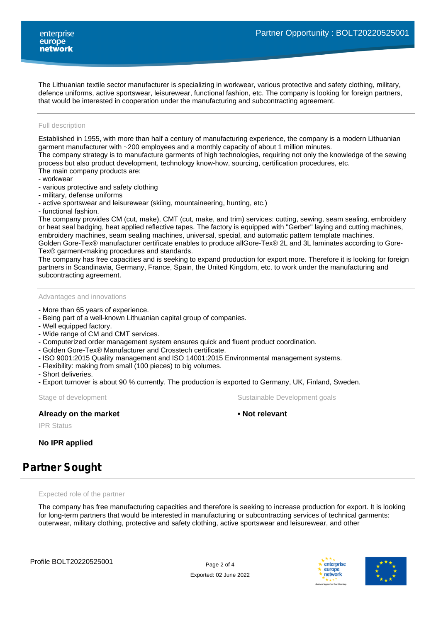The Lithuanian textile sector manufacturer is specializing in workwear, various protective and safety clothing, military, defence uniforms, active sportswear, leisurewear, functional fashion, etc. The company is looking for foreign partners, that would be interested in cooperation under the manufacturing and subcontracting agreement.

#### Full description

Established in 1955, with more than half a century of manufacturing experience, the company is a modern Lithuanian garment manufacturer with ~200 employees and a monthly capacity of about 1 million minutes.

The company strategy is to manufacture garments of high technologies, requiring not only the knowledge of the sewing process but also product development, technology know-how, sourcing, certification procedures, etc. The main company products are:

- workwear
- various protective and safety clothing
- military, defense uniforms
- active sportswear and leisurewear (skiing, mountaineering, hunting, etc.)
- functional fashion.

The company provides CM (cut, make), CMT (cut, make, and trim) services: cutting, sewing, seam sealing, embroidery or heat seal badging, heat applied reflective tapes. The factory is equipped with "Gerber" laying and cutting machines, embroidery machines, seam sealing machines, universal, special, and automatic pattern template machines. Golden Gore-Tex® manufacturer certificate enables to produce allGore-Tex® 2L and 3L laminates according to Gore-

Tex® garment-making procedures and standards.

The company has free capacities and is seeking to expand production for export more. Therefore it is looking for foreign partners in Scandinavia, Germany, France, Spain, the United Kingdom, etc. to work under the manufacturing and subcontracting agreement.

Advantages and innovations

- More than 65 years of experience.
- Being part of a well-known Lithuanian capital group of companies.
- Well equipped factory.
- Wide range of CM and CMT services.
- Computerized order management system ensures quick and fluent product coordination.
- Golden Gore-Tex® Manufacturer and Crosstech certificate.
- ISO 9001:2015 Quality management and ISO 14001:2015 Environmental management systems.
- Flexibility: making from small (100 pieces) to big volumes.
- Short deliveries.
- Export turnover is about 90 % currently. The production is exported to Germany, UK, Finland, Sweden.

#### **Already on the market • Not relevant**

Stage of development **Sustainable Development goals** Sustainable Development goals

IPR Status

**No IPR applied**

# **Partner Sought**

Expected role of the partner

The company has free manufacturing capacities and therefore is seeking to increase production for export. It is looking for long-term partners that would be interested in manufacturing or subcontracting services of technical garments: outerwear, military clothing, protective and safety clothing, active sportswear and leisurewear, and other



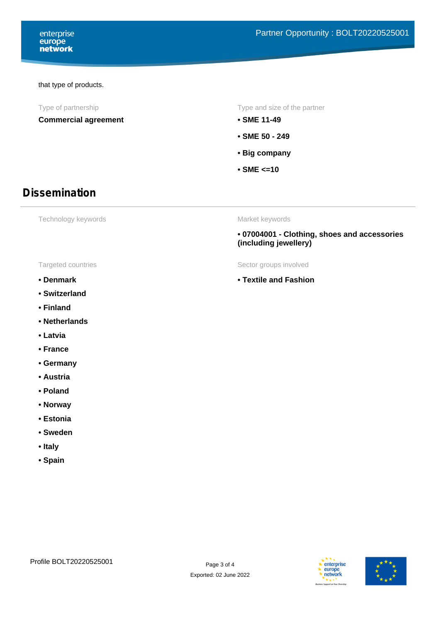#### that type of products.

**Commercial agreement • SME 11-49**

Type of partnership Type and size of the partner

- 
- **SME 50 249**
- **Big company**
- **SME <=10**

### **Dissemination**

Technology keywords

Market keywords

**• Textile and Fashion**

**• 07004001 - Clothing, shoes and accessories (including jewellery)**

Targeted countries Targeted countries

- **Denmark**
- **Switzerland**
- **Finland**
- **Netherlands**
- **Latvia**
- **France**
- **Germany**
- **Austria**
- **Poland**
- **Norway**
- **Estonia**
- **Sweden**
- **Italy**
- **Spain**